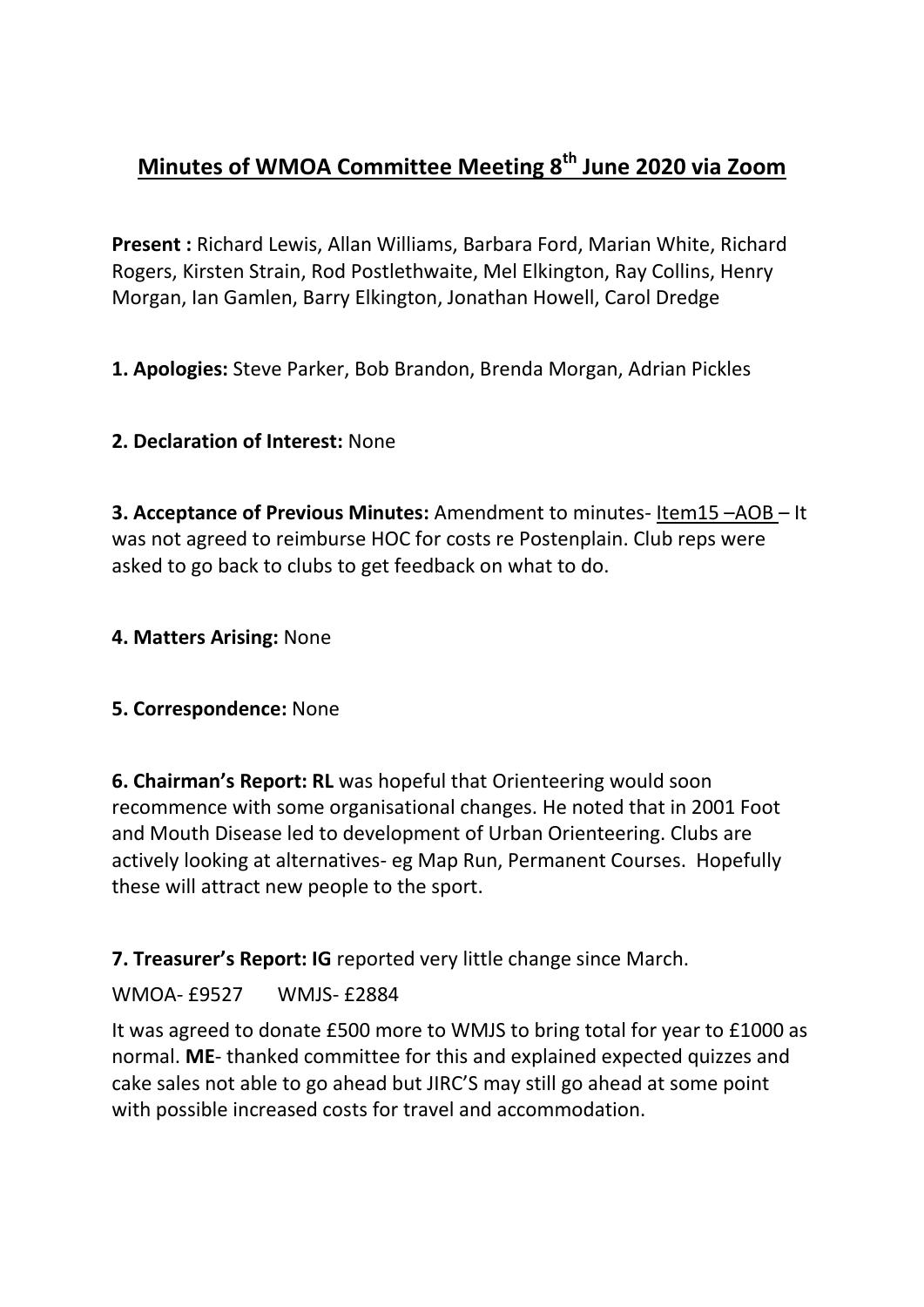# **Minutes of WMOA Committee Meeting 8th June 2020 via Zoom**

**Present :** Richard Lewis, Allan Williams, Barbara Ford, Marian White, Richard Rogers, Kirsten Strain, Rod Postlethwaite, Mel Elkington, Ray Collins, Henry Morgan, Ian Gamlen, Barry Elkington, Jonathan Howell, Carol Dredge

**1. Apologies:** Steve Parker, Bob Brandon, Brenda Morgan, Adrian Pickles

## **2. Declaration of Interest:** None

**3. Acceptance of Previous Minutes:** Amendment to minutes- Item15 –AOB – It was not agreed to reimburse HOC for costs re Postenplain. Club reps were asked to go back to clubs to get feedback on what to do.

#### **4. Matters Arising:** None

#### **5. Correspondence:** None

**6. Chairman's Report: RL** was hopeful that Orienteering would soon recommence with some organisational changes. He noted that in 2001 Foot and Mouth Disease led to development of Urban Orienteering. Clubs are actively looking at alternatives- eg Map Run, Permanent Courses. Hopefully these will attract new people to the sport.

**7. Treasurer's Report: IG** reported very little change since March.

#### WMOA- £9527 WMJS- £2884

It was agreed to donate £500 more to WMJS to bring total for year to £1000 as normal. **ME**- thanked committee for this and explained expected quizzes and cake sales not able to go ahead but JIRC'S may still go ahead at some point with possible increased costs for travel and accommodation.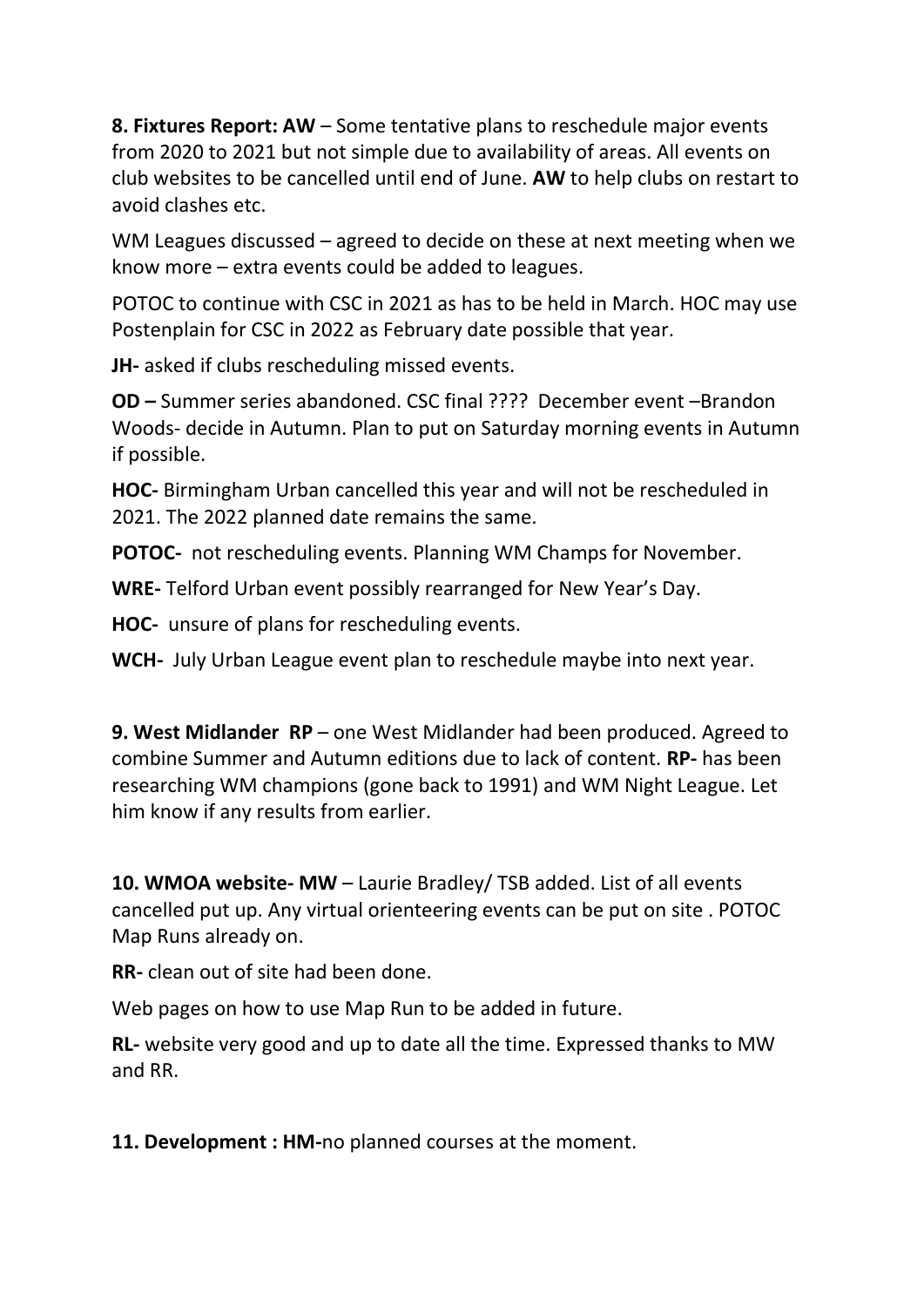**8. Fixtures Report: AW** – Some tentative plans to reschedule major events from 2020 to 2021 but not simple due to availability of areas. All events on club websites to be cancelled until end of June. **AW** to help clubs on restart to avoid clashes etc.

WM Leagues discussed – agreed to decide on these at next meeting when we know more – extra events could be added to leagues.

POTOC to continue with CSC in 2021 as has to be held in March. HOC may use Postenplain for CSC in 2022 as February date possible that year.

**JH-** asked if clubs rescheduling missed events.

**OD –** Summer series abandoned. CSC final ???? December event –Brandon Woods- decide in Autumn. Plan to put on Saturday morning events in Autumn if possible.

**HOC-** Birmingham Urban cancelled this year and will not be rescheduled in 2021. The 2022 planned date remains the same.

**POTOC-** not rescheduling events. Planning WM Champs for November.

**WRE-** Telford Urban event possibly rearranged for New Year's Day.

**HOC-** unsure of plans for rescheduling events.

**WCH-** July Urban League event plan to reschedule maybe into next year.

**9. West Midlander RP** – one West Midlander had been produced. Agreed to combine Summer and Autumn editions due to lack of content. **RP-** has been researching WM champions (gone back to 1991) and WM Night League. Let him know if any results from earlier.

**10. WMOA website- MW** – Laurie Bradley/ TSB added. List of all events cancelled put up. Any virtual orienteering events can be put on site . POTOC Map Runs already on.

**RR-** clean out of site had been done.

Web pages on how to use Map Run to be added in future.

**RL-** website very good and up to date all the time. Expressed thanks to MW and RR.

**11. Development : HM-**no planned courses at the moment.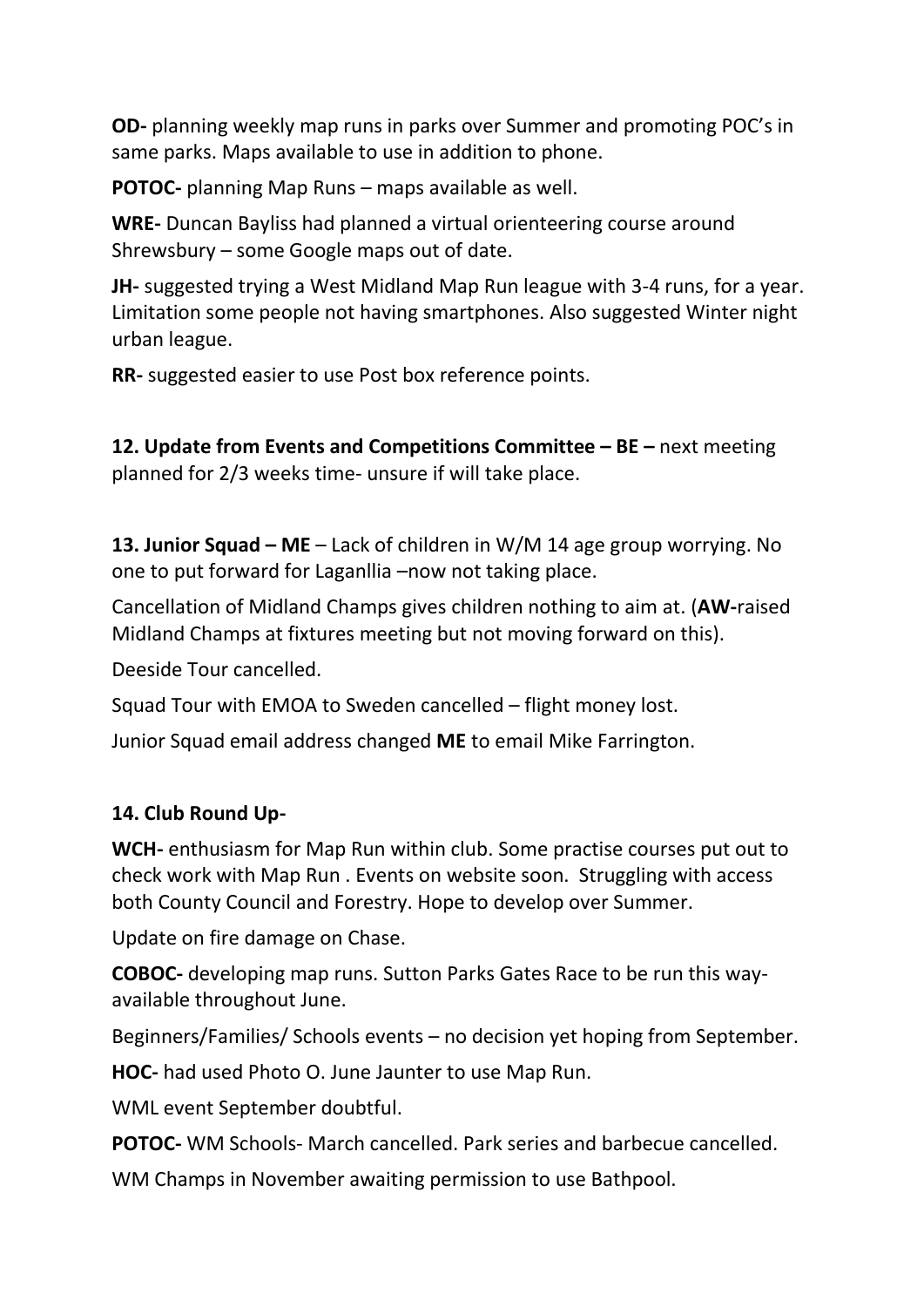**OD-** planning weekly map runs in parks over Summer and promoting POC's in same parks. Maps available to use in addition to phone.

**POTOC-** planning Map Runs – maps available as well.

**WRE-** Duncan Bayliss had planned a virtual orienteering course around Shrewsbury – some Google maps out of date.

**JH-** suggested trying a West Midland Map Run league with 3-4 runs, for a year. Limitation some people not having smartphones. Also suggested Winter night urban league.

**RR-** suggested easier to use Post box reference points.

**12. Update from Events and Competitions Committee – BE –** next meeting planned for 2/3 weeks time- unsure if will take place.

**13. Junior Squad – ME** – Lack of children in W/M 14 age group worrying. No one to put forward for Laganllia –now not taking place.

Cancellation of Midland Champs gives children nothing to aim at. (**AW-**raised Midland Champs at fixtures meeting but not moving forward on this).

Deeside Tour cancelled.

Squad Tour with EMOA to Sweden cancelled – flight money lost.

Junior Squad email address changed **ME** to email Mike Farrington.

# **14. Club Round Up-**

**WCH-** enthusiasm for Map Run within club. Some practise courses put out to check work with Map Run . Events on website soon. Struggling with access both County Council and Forestry. Hope to develop over Summer.

Update on fire damage on Chase.

**COBOC-** developing map runs. Sutton Parks Gates Race to be run this wayavailable throughout June.

Beginners/Families/ Schools events – no decision yet hoping from September.

**HOC-** had used Photo O. June Jaunter to use Map Run.

WML event September doubtful.

**POTOC-** WM Schools- March cancelled. Park series and barbecue cancelled.

WM Champs in November awaiting permission to use Bathpool.